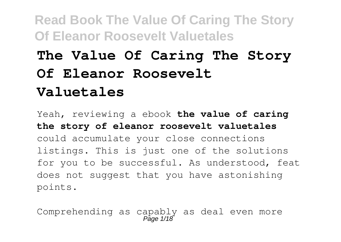# **The Value Of Caring The Story Of Eleanor Roosevelt Valuetales**

Yeah, reviewing a ebook **the value of caring the story of eleanor roosevelt valuetales** could accumulate your close connections listings. This is just one of the solutions for you to be successful. As understood, feat does not suggest that you have astonishing points.

Comprehending as capably as deal even more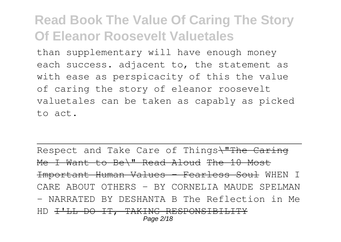than supplementary will have enough money each success. adjacent to, the statement as with ease as perspicacity of this the value of caring the story of eleanor roosevelt valuetales can be taken as capably as picked to act.

Respect and Take Care of Things\"The Caring Me I Want to Be\" Read Aloud The 10 Most Important Human Values - Fearless Soul WHEN I CARE ABOUT OTHERS - BY CORNELIA MAUDE SPELMAN - NARRATED BY DESHANTA B The Reflection in Me HD <del>I'LL DO IT, TAKING RESPONSIBILITY</del> Page 2/18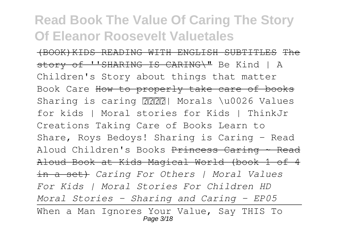(BOOK)KIDS READING WITH ENGLISH SUBTITLES The story of ''SHARING IS CARING\" Be Kind | A Children's Story about things that matter Book Care How to properly take care of books Sharing is caring ? ? Morals \u0026 Values for kids | Moral stories for Kids | ThinkJr Creations Taking Care of Books Learn to Share, Roys Bedoys! Sharing is Caring - Read Aloud Children's Books Princess Caring ~ Read Aloud Book at Kids Magical World (book 1 of 4 in a set) *Caring For Others | Moral Values For Kids | Moral Stories For Children HD Moral Stories - Sharing and Caring - EP05* When a Man Ignores Your Value, Say THIS To Page 3/18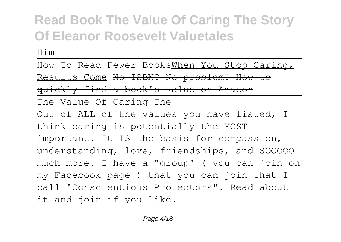Him

How To Read Fewer BooksWhen You Stop Caring, Results Come No ISBN? No problem! How to quickly find a book's value on Amazon

The Value Of Caring The

Out of ALL of the values you have listed, I think caring is potentially the MOST important. It IS the basis for compassion, understanding, love, friendships, and SOOOOO much more. I have a "group" ( you can join on my Facebook page ) that you can join that I call "Conscientious Protectors". Read about it and join if you like.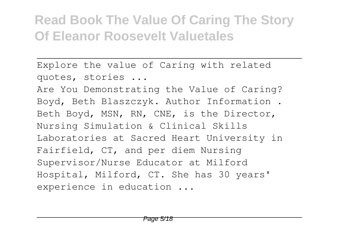Explore the value of Caring with related quotes, stories ...

Are You Demonstrating the Value of Caring? Boyd, Beth Blaszczyk. Author Information . Beth Boyd, MSN, RN, CNE, is the Director, Nursing Simulation & Clinical Skills Laboratories at Sacred Heart University in Fairfield, CT, and per diem Nursing Supervisor/Nurse Educator at Milford Hospital, Milford, CT. She has 30 years' experience in education ...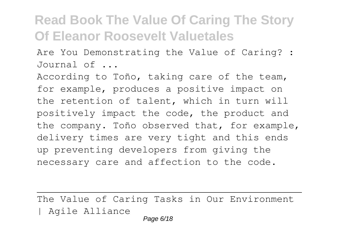Are You Demonstrating the Value of Caring? : Journal of ...

According to Toño, taking care of the team, for example, produces a positive impact on the retention of talent, which in turn will positively impact the code, the product and the company. Toño observed that, for example, delivery times are very tight and this ends up preventing developers from giving the necessary care and affection to the code.

The Value of Caring Tasks in Our Environment | Agile Alliance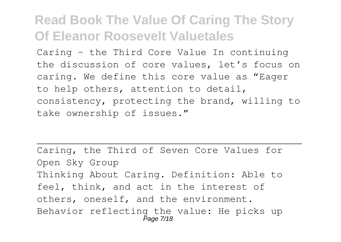Caring – the Third Core Value In continuing the discussion of core values, let's focus on caring. We define this core value as "Eager to help others, attention to detail, consistency, protecting the brand, willing to take ownership of issues."

Caring, the Third of Seven Core Values for Open Sky Group Thinking About Caring. Definition: Able to feel, think, and act in the interest of others, oneself, and the environment. Behavior reflecting the value: He picks up Page 7/18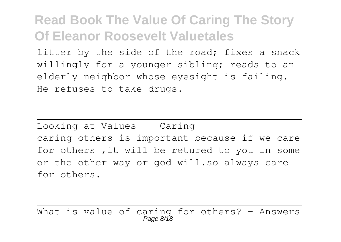litter by the side of the road; fixes a snack willingly for a younger sibling; reads to an elderly neighbor whose eyesight is failing. He refuses to take drugs.

Looking at Values -- Caring caring others is important because if we care for others ,it will be retured to you in some or the other way or god will.so always care for others.

What is value of caring for others? - Answers Page 8/18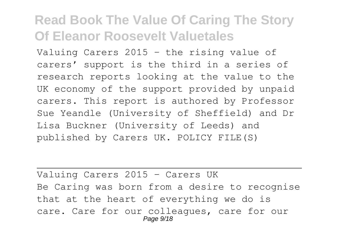Valuing Carers 2015 – the rising value of carers' support is the third in a series of research reports looking at the value to the UK economy of the support provided by unpaid carers. This report is authored by Professor Sue Yeandle (University of Sheffield) and Dr Lisa Buckner (University of Leeds) and published by Carers UK. POLICY FILE(S)

Valuing Carers 2015 - Carers UK Be Caring was born from a desire to recognise that at the heart of everything we do is care. Care for our colleagues, care for our Page  $9/18$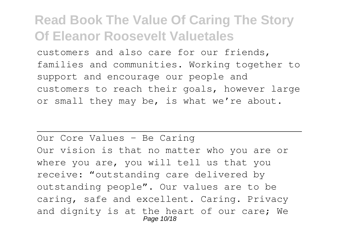customers and also care for our friends, families and communities. Working together to support and encourage our people and customers to reach their goals, however large or small they may be, is what we're about.

Our Core Values - Be Caring Our vision is that no matter who you are or where you are, you will tell us that you receive: "outstanding care delivered by outstanding people". Our values are to be caring, safe and excellent. Caring. Privacy and dignity is at the heart of our care; We Page 10/18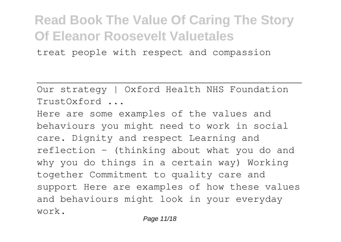treat people with respect and compassion

Our strategy | Oxford Health NHS Foundation TrustOxford ...

Here are some examples of the values and behaviours you might need to work in social care. Dignity and respect Learning and reflection – (thinking about what you do and why you do things in a certain way) Working together Commitment to quality care and support Here are examples of how these values and behaviours might look in your everyday work.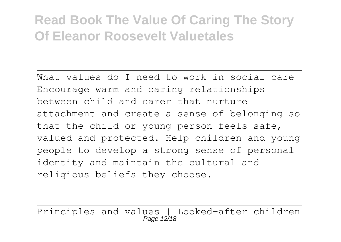What values do I need to work in social care Encourage warm and caring relationships between child and carer that nurture attachment and create a sense of belonging so that the child or young person feels safe, valued and protected. Help children and young people to develop a strong sense of personal identity and maintain the cultural and religious beliefs they choose.

Principles and values | Looked-after children Page 12/18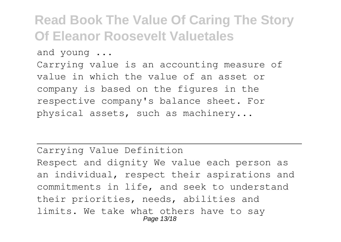and young ...

Carrying value is an accounting measure of value in which the value of an asset or company is based on the figures in the respective company's balance sheet. For physical assets, such as machinery...

Carrying Value Definition Respect and dignity We value each person as an individual, respect their aspirations and commitments in life, and seek to understand their priorities, needs, abilities and limits. We take what others have to say Page 13/18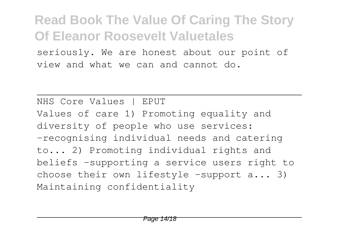seriously. We are honest about our point of view and what we can and cannot do.

NHS Core Values | EPUT Values of care 1) Promoting equality and diversity of people who use services: -recognising individual needs and catering to... 2) Promoting individual rights and beliefs -supporting a service users right to choose their own lifestyle -support  $a...$  3) Maintaining confidentiality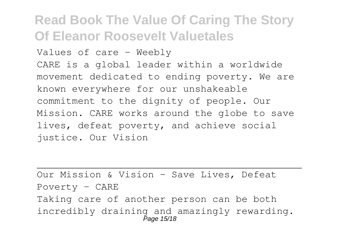Values of care - Weebly CARE is a global leader within a worldwide movement dedicated to ending poverty. We are known everywhere for our unshakeable commitment to the dignity of people. Our Mission. CARE works around the globe to save lives, defeat poverty, and achieve social justice. Our Vision

Our Mission & Vision - Save Lives, Defeat Poverty - CARE Taking care of another person can be both incredibly draining and amazingly rewarding. Page 15/18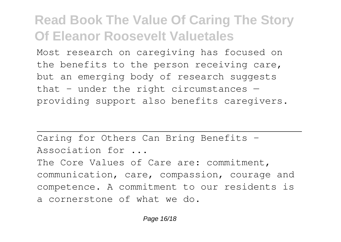Most research on caregiving has focused on the benefits to the person receiving care, but an emerging body of research suggests that – under the right circumstances providing support also benefits caregivers.

Caring for Others Can Bring Benefits – Association for ... The Core Values of Care are: commitment, communication, care, compassion, courage and competence. A commitment to our residents is a cornerstone of what we do.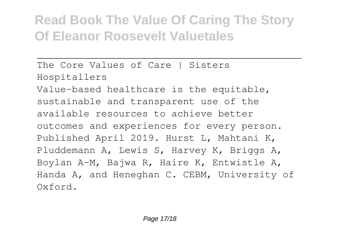The Core Values of Care | Sisters Hospitallers Value-based healthcare is the equitable, sustainable and transparent use of the available resources to achieve better outcomes and experiences for every person. Published April 2019. Hurst L, Mahtani K, Pluddemann A, Lewis S, Harvey K, Briggs A, Boylan A-M, Bajwa R, Haire K, Entwistle A, Handa A, and Heneghan C. CEBM, University of Oxford.